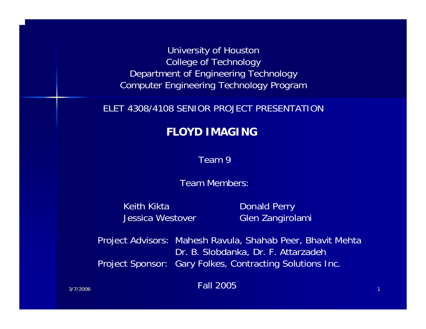University of Houston College of Technology Department of Engineering Technology Computer Engineering Technology Program

#### ELET 4308/4108 SENIOR PROJECT PRESENTATION

#### **FLOYD IMAGING**

Team 9

Team Members:

Keith KiktaJessica Westover  Donald Perry Glen Zangirolami

Project Advisors: Mahesh Ravula, Shahab Peer, Bhavit Mehta Dr. B. Slobdanka, Dr. F. Attarzadeh Project Sponsor: Gary Folkes, Contracting Solutions Inc.

 $\frac{1}{1}$  and  $\frac{1}{2}$  and  $\frac{1}{2}$  and  $\frac{1}{2}$  and  $\frac{1}{2}$  and  $\frac{1}{2}$  and  $\frac{1}{2}$  and  $\frac{1}{2}$  and  $\frac{1}{2}$  and  $\frac{1}{2}$  and  $\frac{1}{2}$  and  $\frac{1}{2}$  and  $\frac{1}{2}$  and  $\frac{1}{2}$  and  $\frac{1}{2}$  and  $\frac{1}{2}$  a Fall 2005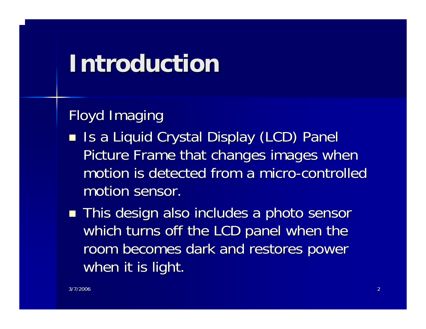#### **Introduction Introduction**

#### Floyd Imaging

- Is a Liquid Crystal Display (LCD) Panel Is a Liquid Crystal Display (LCD) Panel Picture Frame that changes images when motion is detected from a micro-controlled motion sensor.
- $\blacksquare$  This design also includes a photo sensor which turns off the LCD panel when the room becomes dark and restores power when it is light.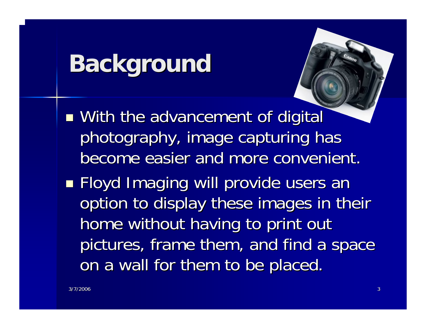### **Background Background**

■ With the advancement of digital photography, image capturing has become easier and more convenient.

 Floyd Imaging will provide users an Floyd Imaging will provide users an option to display these images in their home without having to print out pictures, frame them, and find a space on a wall for them to be placed.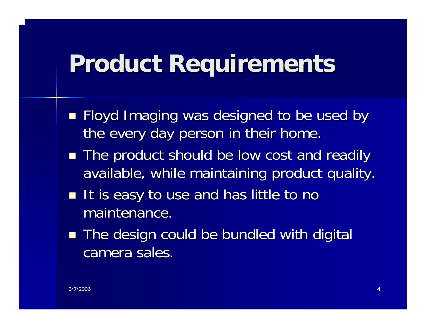### **Product Requirements Product Requirements**

- **Floyd Imaging was designed to be used by** the every day person in their home.
- The product should be low cost and readily available, while maintaining product quality.
- $\blacksquare$  It is easy to use and has little to no maintenance.
- The design could be bundled with digital camera sales.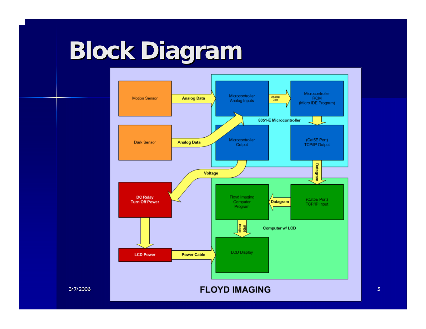## **Block Diagram Block Diagram**

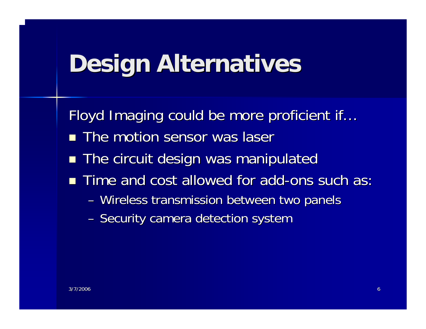### **Design Alternatives Design Alternatives**

Floyd Imaging could be more proficient if...

- $\blacksquare$  The motion sensor was laser
- $\blacksquare$  The circuit design was manipulated
- $\blacksquare$  Time and cost allowed for add-ons such as:
	- Wireless transmission between two panels
	- Security camera detection system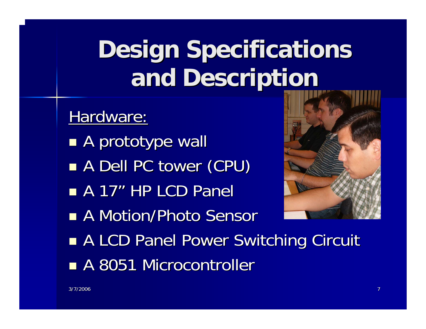#### Hardware:

- **A prototype wall**
- ■ A Dell PC tower (CPU)
- **A 17" HP LCD Panel**
- A Motion/Photo Sensor



- **RALCD Panel Power Switching Circuit**
- A 8051 Microcontroller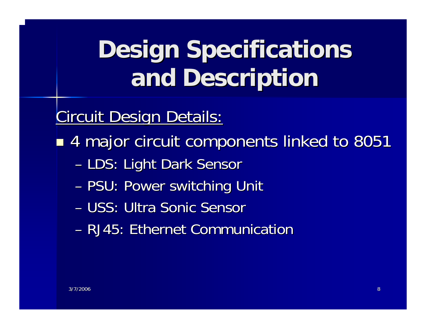**Circuit Design Details:** 

4 major circuit components linked to 8051 4 major circuit components linked to 8051

- LDS: Light Dark Sensor
- –– PSU: Power switching Unit
- USS: Ultra Sonic Sensor
- RJ45: Ethernet Communication RJ45: Ethernet Communication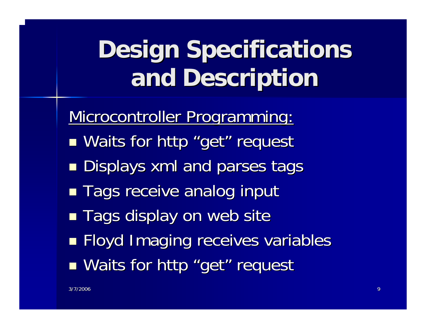Microcontroller Programming:

- **Naits for http "get" request request**
- **Displays xml and parses tags**
- ■ Tags receive analog input
- $\blacksquare$  Tags display on web site
- Floyd Imaging receives variables Floyd Imaging receives variables
- **Naits for http "get" request request**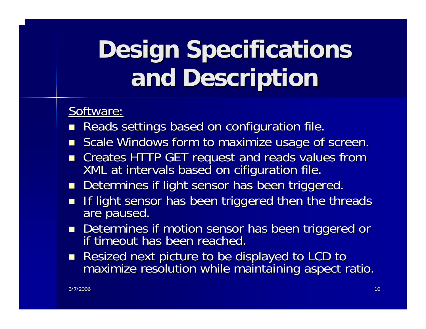#### Software:

- $\mathbb{R}^2$ Reads settings based on configuration file.
- $\blacksquare$  Scale Windows form to maximize usage of screen.
- $\blacksquare$ Creates HTTP GET request and reads values from<br>XML at intervals based on cifiguration file.
- $\Box$ Determines if light sensor has been triggered.
- П If light sensor has been triggered then the threads are paused.
- Determines if motion sensor has been triggered or Determines if motion sensor has been triggered or if timeout has been reached.if timeout has been reached.
- Resized next picture to be displayed to LCD to maximize resolution while maintaining aspect ratio.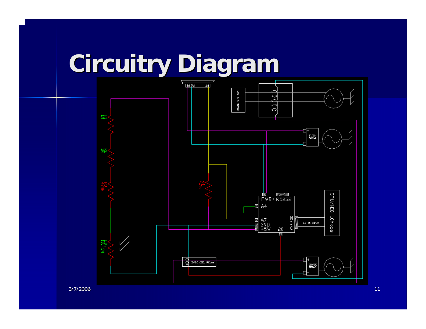### **Circuitry Diagram Circuitry Diagram**



3/7/2006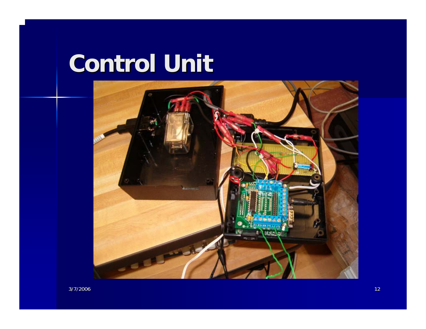#### **Control Unit Control Unit**

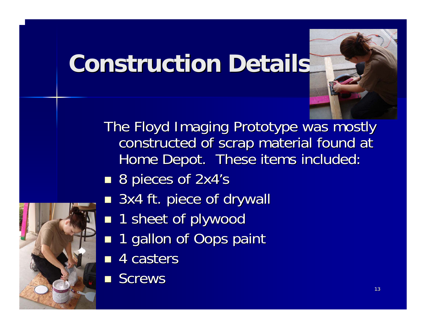### **Construction Details Construction Details**



The Floyd Imaging Prototype was mostly constructed of scrap material found at Home Depot. These items included:

- 8 pieces of 2x4's
- 3x4 ft. piece of drywall
- **1** sheet of plywood
- 1 gallon of Oops paint
- $\blacksquare$  4 casters
- **Screws**

3/7/2006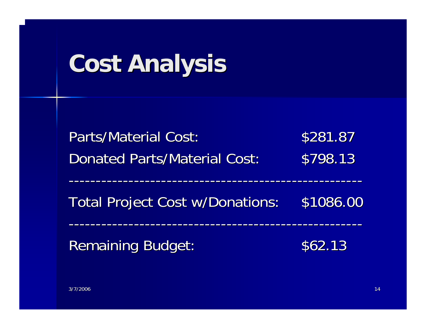# **Cost Analysis Cost Analysis**

| <b>Parts/Material Cost:</b><br><b>Donated Parts/Material Cost:</b> | \$281.87<br>\$798.13 |
|--------------------------------------------------------------------|----------------------|
|                                                                    |                      |
| Remaining Budget:                                                  | \$62.13              |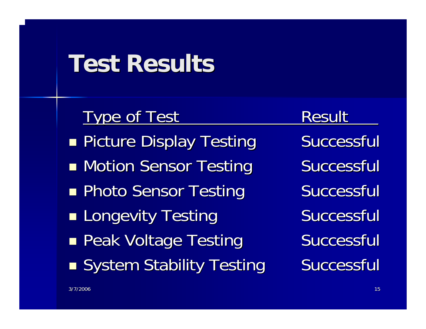#### **Test Results Test Results**

#### Type of Test The Result

- **Picture Display Testing Successful**
- ■ Motion Sensor Testing Successful
- **Reading Photo Sensor Testing Successful**
- **Longevity Testing Successful**
- **Peak Voltage Testing Successful**
- ■ System Stability Testing Successful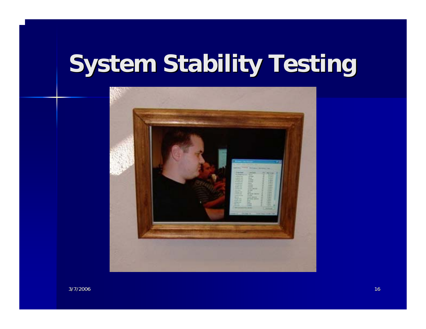## **System Stability Testing System Stability Testing**



3/7/2006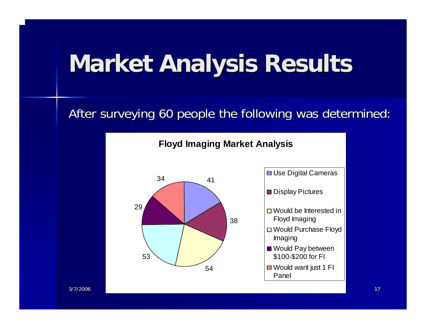## **Market Analysis Results Market Analysis Results**

#### After surveying 60 people the following was determined:



#### **Floyd Imaging Market Analysis**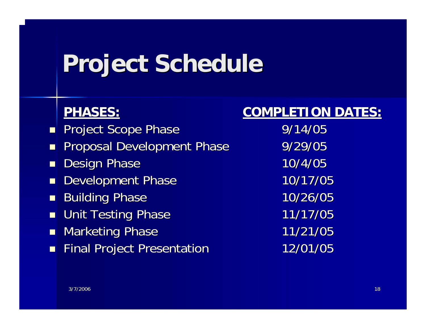## **Project Schedule Project Schedule**

#### **PHASES: PHASES:**

- П Project Scope Phase 9/14/05
- $\blacksquare$ Proposal Development Phase 9/29/05
- $\blacksquare$ Design Phase 10/4/05
- $\blacksquare$ Development Phase 10/17/05
- $\blacksquare$ Building Phase 10/26/05
- $\blacksquare$ Unit Testing Phase 11/17/05
- П Marketing Phase 11/21/05
- $\overline{\phantom{a}}$ Final Project Presentation 12/01/05

#### **COMPLETION DATES: COMPLETION DATES:**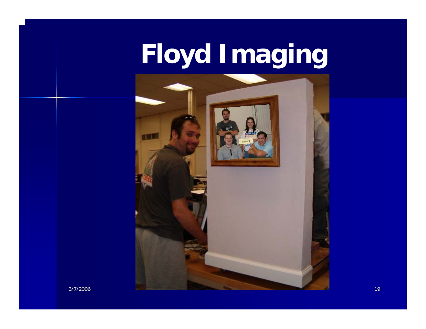# **Floyd Imaging**